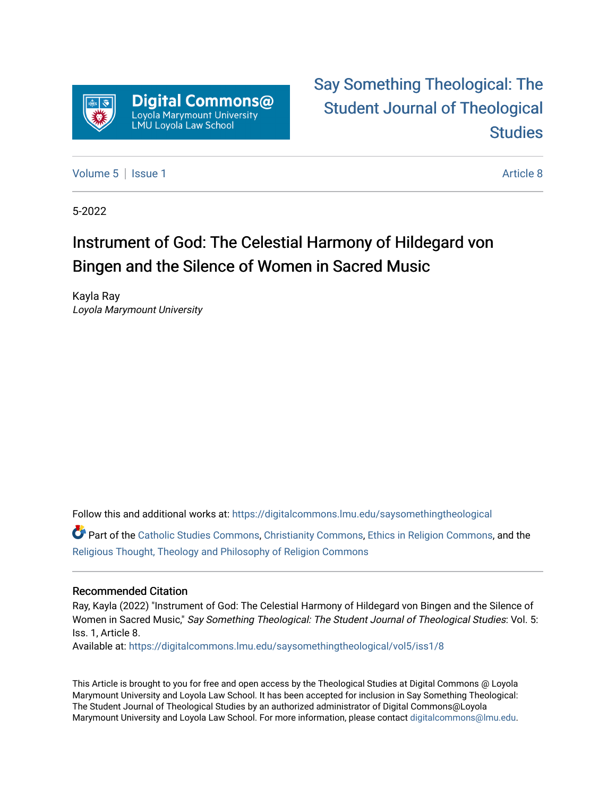

## [Say Something Theological: The](https://digitalcommons.lmu.edu/saysomethingtheological)  [Student Journal of Theological](https://digitalcommons.lmu.edu/saysomethingtheological)  **Studies**

[Volume 5](https://digitalcommons.lmu.edu/saysomethingtheological/vol5) | [Issue 1](https://digitalcommons.lmu.edu/saysomethingtheological/vol5/iss1) Article 8

5-2022

# Instrument of God: The Celestial Harmony of Hildegard von Bingen and the Silence of Women in Sacred Music

Kayla Ray Loyola Marymount University

Follow this and additional works at: [https://digitalcommons.lmu.edu/saysomethingtheological](https://digitalcommons.lmu.edu/saysomethingtheological?utm_source=digitalcommons.lmu.edu%2Fsaysomethingtheological%2Fvol5%2Fiss1%2F8&utm_medium=PDF&utm_campaign=PDFCoverPages)

Part of the [Catholic Studies Commons](http://network.bepress.com/hgg/discipline/1294?utm_source=digitalcommons.lmu.edu%2Fsaysomethingtheological%2Fvol5%2Fiss1%2F8&utm_medium=PDF&utm_campaign=PDFCoverPages), [Christianity Commons](http://network.bepress.com/hgg/discipline/1181?utm_source=digitalcommons.lmu.edu%2Fsaysomethingtheological%2Fvol5%2Fiss1%2F8&utm_medium=PDF&utm_campaign=PDFCoverPages), [Ethics in Religion Commons,](http://network.bepress.com/hgg/discipline/541?utm_source=digitalcommons.lmu.edu%2Fsaysomethingtheological%2Fvol5%2Fiss1%2F8&utm_medium=PDF&utm_campaign=PDFCoverPages) and the [Religious Thought, Theology and Philosophy of Religion Commons](http://network.bepress.com/hgg/discipline/544?utm_source=digitalcommons.lmu.edu%2Fsaysomethingtheological%2Fvol5%2Fiss1%2F8&utm_medium=PDF&utm_campaign=PDFCoverPages) 

#### Recommended Citation

Ray, Kayla (2022) "Instrument of God: The Celestial Harmony of Hildegard von Bingen and the Silence of Women in Sacred Music," Say Something Theological: The Student Journal of Theological Studies: Vol. 5: Iss. 1, Article 8.

Available at: [https://digitalcommons.lmu.edu/saysomethingtheological/vol5/iss1/8](https://digitalcommons.lmu.edu/saysomethingtheological/vol5/iss1/8?utm_source=digitalcommons.lmu.edu%2Fsaysomethingtheological%2Fvol5%2Fiss1%2F8&utm_medium=PDF&utm_campaign=PDFCoverPages) 

This Article is brought to you for free and open access by the Theological Studies at Digital Commons @ Loyola Marymount University and Loyola Law School. It has been accepted for inclusion in Say Something Theological: The Student Journal of Theological Studies by an authorized administrator of Digital Commons@Loyola Marymount University and Loyola Law School. For more information, please contact [digitalcommons@lmu.edu](mailto:digitalcommons@lmu.edu).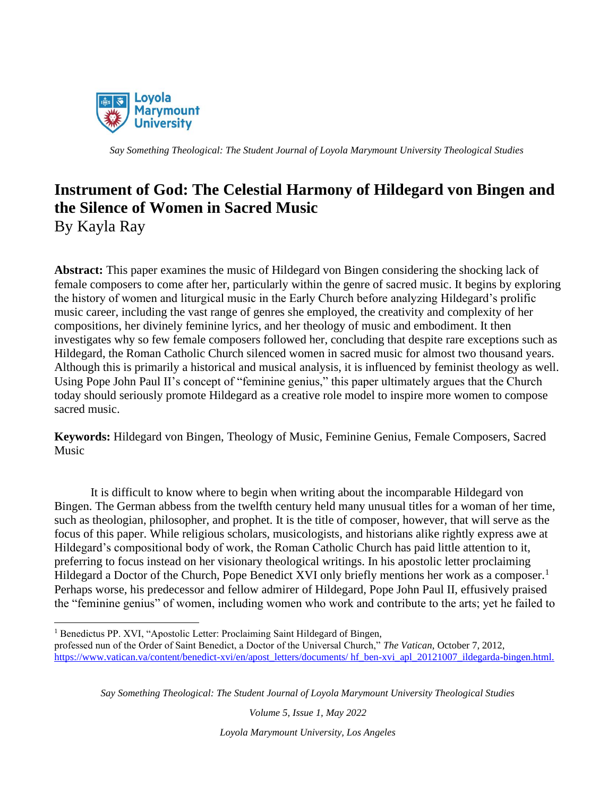

### **Instrument of God: The Celestial Harmony of Hildegard von Bingen and the Silence of Women in Sacred Music** By Kayla Ray

**Abstract:** This paper examines the music of Hildegard von Bingen considering the shocking lack of female composers to come after her, particularly within the genre of sacred music. It begins by exploring the history of women and liturgical music in the Early Church before analyzing Hildegard's prolific music career, including the vast range of genres she employed, the creativity and complexity of her compositions, her divinely feminine lyrics, and her theology of music and embodiment. It then investigates why so few female composers followed her, concluding that despite rare exceptions such as Hildegard, the Roman Catholic Church silenced women in sacred music for almost two thousand years. Although this is primarily a historical and musical analysis, it is influenced by feminist theology as well. Using Pope John Paul II's concept of "feminine genius," this paper ultimately argues that the Church today should seriously promote Hildegard as a creative role model to inspire more women to compose sacred music.

**Keywords:** Hildegard von Bingen, Theology of Music, Feminine Genius, Female Composers, Sacred Music

It is difficult to know where to begin when writing about the incomparable Hildegard von Bingen. The German abbess from the twelfth century held many unusual titles for a woman of her time, such as theologian, philosopher, and prophet. It is the title of composer, however, that will serve as the focus of this paper. While religious scholars, musicologists, and historians alike rightly express awe at Hildegard's compositional body of work, the Roman Catholic Church has paid little attention to it, preferring to focus instead on her visionary theological writings. In his apostolic letter proclaiming Hildegard a Doctor of the Church, Pope Benedict XVI only briefly mentions her work as a composer.<sup>1</sup> Perhaps worse, his predecessor and fellow admirer of Hildegard, Pope John Paul II, effusively praised the "feminine genius" of women, including women who work and contribute to the arts; yet he failed to

*Say Something Theological: The Student Journal of Loyola Marymount University Theological Studies*

*Volume 5, Issue 1, May 2022*

<sup>&</sup>lt;sup>1</sup> Benedictus PP. XVI, "Apostolic Letter: Proclaiming Saint Hildegard of Bingen,

professed nun of the Order of Saint Benedict, a Doctor of the Universal Church," *The Vatican*, October 7, 2012, [https://www.vatican.va/content/benedict-xvi/en/apost\\_letters/documents/ hf\\_ben-xvi\\_apl\\_20121007\\_ildegarda-bingen.html.](https://www.vatican.va/content/benedict-xvi/en/apost_letters/documents/%20hf_ben-xvi_apl_20121007_ildegarda-bingen.html)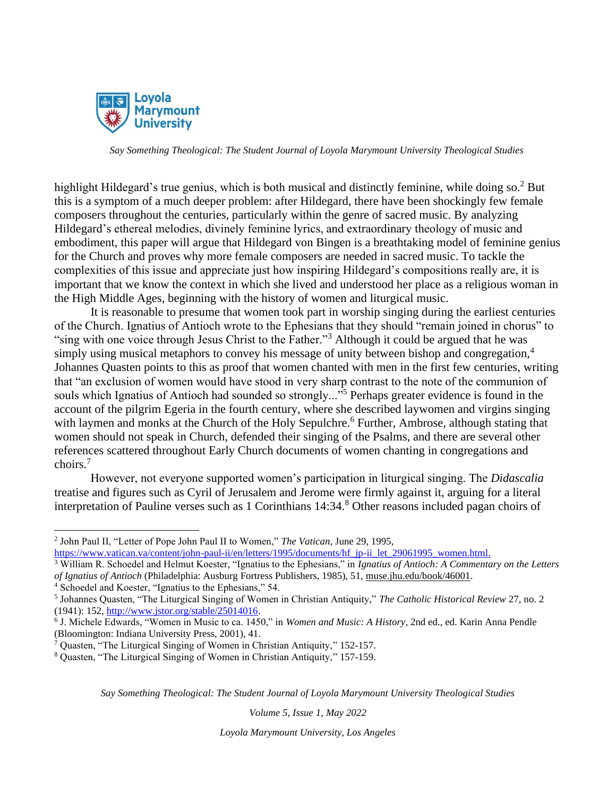

highlight Hildegard's true genius, which is both musical and distinctly feminine, while doing so.<sup>2</sup> But this is a symptom of a much deeper problem: after Hildegard, there have been shockingly few female composers throughout the centuries, particularly within the genre of sacred music. By analyzing Hildegard's ethereal melodies, divinely feminine lyrics, and extraordinary theology of music and embodiment, this paper will argue that Hildegard von Bingen is a breathtaking model of feminine genius for the Church and proves why more female composers are needed in sacred music. To tackle the complexities of this issue and appreciate just how inspiring Hildegard's compositions really are, it is important that we know the context in which she lived and understood her place as a religious woman in the High Middle Ages, beginning with the history of women and liturgical music.

It is reasonable to presume that women took part in worship singing during the earliest centuries of the Church. Ignatius of Antioch wrote to the Ephesians that they should "remain joined in chorus" to "sing with one voice through Jesus Christ to the Father."<sup>3</sup> Although it could be argued that he was simply using musical metaphors to convey his message of unity between bishop and congregation,<sup>4</sup> Johannes Quasten points to this as proof that women chanted with men in the first few centuries, writing that "an exclusion of women would have stood in very sharp contrast to the note of the communion of souls which Ignatius of Antioch had sounded so strongly..."<sup>5</sup> Perhaps greater evidence is found in the account of the pilgrim Egeria in the fourth century, where she described laywomen and virgins singing with laymen and monks at the Church of the Holy Sepulchre.<sup>6</sup> Further, Ambrose, although stating that women should not speak in Church, defended their singing of the Psalms, and there are several other references scattered throughout Early Church documents of women chanting in congregations and choirs.<sup>7</sup>

However, not everyone supported women's participation in liturgical singing. The *Didascalia*  treatise and figures such as Cyril of Jerusalem and Jerome were firmly against it, arguing for a literal interpretation of Pauline verses such as 1 Corinthians 14:34.<sup>8</sup> Other reasons included pagan choirs of

*Say Something Theological: The Student Journal of Loyola Marymount University Theological Studies*

*Volume 5, Issue 1, May 2022*

<sup>2</sup> John Paul II, "Letter of Pope John Paul II to Women," *The Vatican*, June 29, 1995,

[https://www.vatican.va/content/john-paul-ii/en/letters/1995/documents/hf\\_jp-ii\\_let\\_29061995\\_women.html.](https://www.vatican.va/content/john-paul-ii/en/letters/1995/documents/hf_jp-ii_let_29061995_women.html)

<sup>3</sup> William R. Schoedel and Helmut Koester, "Ignatius to the Ephesians," in *Ignatius of Antioch: A Commentary on the Letters of Ignatius of Antioch* (Philadelphia: Ausburg Fortress Publishers, 1985), 51, muse.jhu.edu/book/46001.

<sup>4</sup> Schoedel and Koester, "Ignatius to the Ephesians," 54.

<sup>5</sup> Johannes Quasten, "The Liturgical Singing of Women in Christian Antiquity," *The Catholic Historical Review* 27, no. 2 (1941): 152, [http://www.jstor.org/stable/25014016.](http://www.jstor.org/stable/25014016)

<sup>6</sup> J. Michele Edwards, "Women in Music to ca. 1450," in *Women and Music: A History*, 2nd ed., ed. Karin Anna Pendle (Bloomington: Indiana University Press, 2001), 41.

<sup>7</sup> Quasten, "The Liturgical Singing of Women in Christian Antiquity," 152-157.

<sup>8</sup> Quasten, "The Liturgical Singing of Women in Christian Antiquity," 157-159.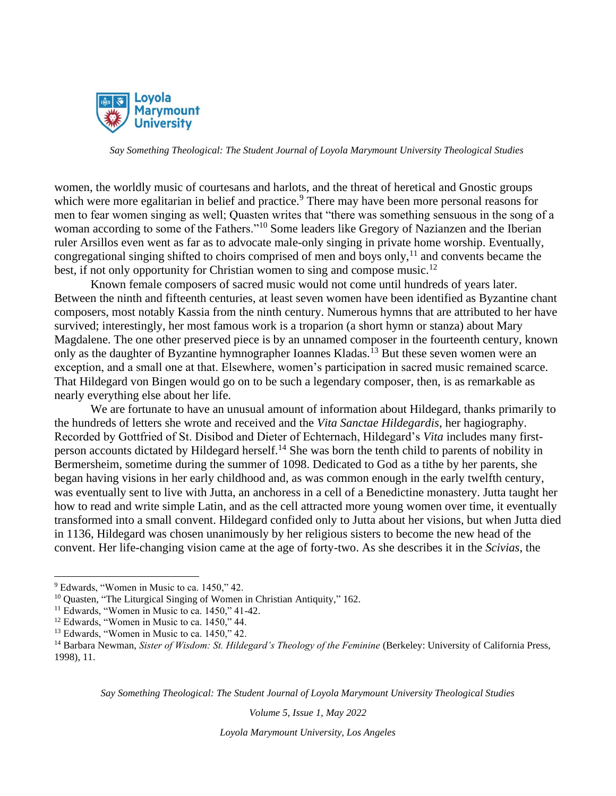

women, the worldly music of courtesans and harlots, and the threat of heretical and Gnostic groups which were more egalitarian in belief and practice.<sup>9</sup> There may have been more personal reasons for men to fear women singing as well; Quasten writes that "there was something sensuous in the song of a woman according to some of the Fathers."<sup>10</sup> Some leaders like Gregory of Nazianzen and the Iberian ruler Arsillos even went as far as to advocate male-only singing in private home worship. Eventually, congregational singing shifted to choirs comprised of men and boys only,<sup>11</sup> and convents became the best, if not only opportunity for Christian women to sing and compose music.<sup>12</sup>

Known female composers of sacred music would not come until hundreds of years later. Between the ninth and fifteenth centuries, at least seven women have been identified as Byzantine chant composers, most notably Kassia from the ninth century. Numerous hymns that are attributed to her have survived; interestingly, her most famous work is a troparion (a short hymn or stanza) about Mary Magdalene. The one other preserved piece is by an unnamed composer in the fourteenth century, known only as the daughter of Byzantine hymnographer Ioannes Kladas.<sup>13</sup> But these seven women were an exception, and a small one at that. Elsewhere, women's participation in sacred music remained scarce. That Hildegard von Bingen would go on to be such a legendary composer, then, is as remarkable as nearly everything else about her life.

We are fortunate to have an unusual amount of information about Hildegard, thanks primarily to the hundreds of letters she wrote and received and the *Vita Sanctae Hildegardis*, her hagiography. Recorded by Gottfried of St. Disibod and Dieter of Echternach, Hildegard's *Vita* includes many firstperson accounts dictated by Hildegard herself.<sup>14</sup> She was born the tenth child to parents of nobility in Bermersheim, sometime during the summer of 1098. Dedicated to God as a tithe by her parents, she began having visions in her early childhood and, as was common enough in the early twelfth century, was eventually sent to live with Jutta, an anchoress in a cell of a Benedictine monastery. Jutta taught her how to read and write simple Latin, and as the cell attracted more young women over time, it eventually transformed into a small convent. Hildegard confided only to Jutta about her visions, but when Jutta died in 1136, Hildegard was chosen unanimously by her religious sisters to become the new head of the convent. Her life-changing vision came at the age of forty-two. As she describes it in the *Scivias*, the

*Say Something Theological: The Student Journal of Loyola Marymount University Theological Studies*

*Volume 5, Issue 1, May 2022*

<sup>9</sup> Edwards, "Women in Music to ca. 1450," 42.

<sup>&</sup>lt;sup>10</sup> Quasten, "The Liturgical Singing of Women in Christian Antiquity," 162.

 $11$  Edwards, "Women in Music to ca. 1450," 41-42.

<sup>&</sup>lt;sup>12</sup> Edwards, "Women in Music to ca. 1450," 44.

<sup>&</sup>lt;sup>13</sup> Edwards, "Women in Music to ca. 1450," 42.

<sup>&</sup>lt;sup>14</sup> Barbara Newman, *Sister of Wisdom: St. Hildegard's Theology of the Feminine* (Berkeley: University of California Press, 1998), 11.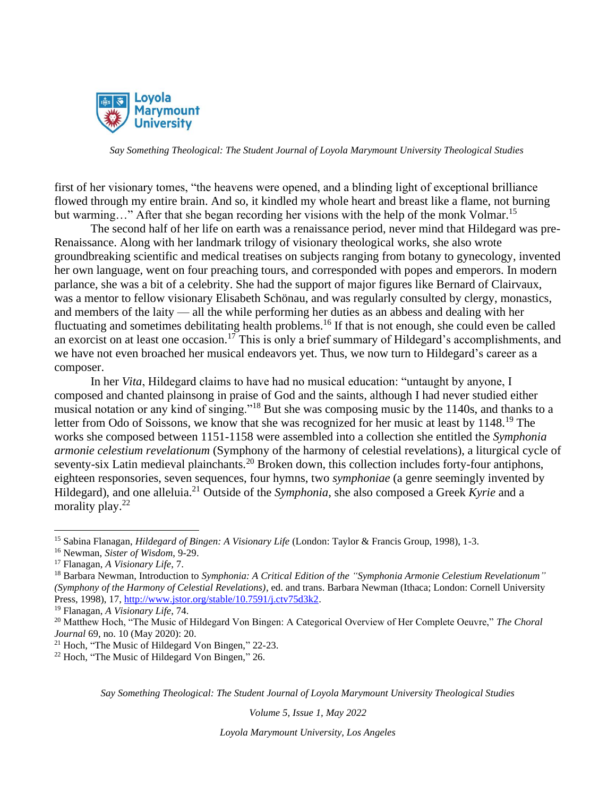

first of her visionary tomes, "the heavens were opened, and a blinding light of exceptional brilliance flowed through my entire brain. And so, it kindled my whole heart and breast like a flame, not burning but warming..." After that she began recording her visions with the help of the monk Volmar.<sup>15</sup>

The second half of her life on earth was a renaissance period, never mind that Hildegard was pre-Renaissance. Along with her landmark trilogy of visionary theological works, she also wrote groundbreaking scientific and medical treatises on subjects ranging from botany to gynecology, invented her own language, went on four preaching tours, and corresponded with popes and emperors. In modern parlance, she was a bit of a celebrity. She had the support of major figures like Bernard of Clairvaux, was a mentor to fellow visionary Elisabeth Schönau, and was regularly consulted by clergy, monastics, and members of the laity — all the while performing her duties as an abbess and dealing with her fluctuating and sometimes debilitating health problems.<sup>16</sup> If that is not enough, she could even be called an exorcist on at least one occasion.<sup>17</sup> This is only a brief summary of Hildegard's accomplishments, and we have not even broached her musical endeavors yet. Thus, we now turn to Hildegard's career as a composer.

In her *Vita*, Hildegard claims to have had no musical education: "untaught by anyone, I composed and chanted plainsong in praise of God and the saints, although I had never studied either musical notation or any kind of singing."<sup>18</sup> But she was composing music by the 1140s, and thanks to a letter from Odo of Soissons, we know that she was recognized for her music at least by 1148.<sup>19</sup> The works she composed between 1151-1158 were assembled into a collection she entitled the *Symphonia armonie celestium revelationum* (Symphony of the harmony of celestial revelations), a liturgical cycle of seventy-six Latin medieval plainchants.<sup>20</sup> Broken down, this collection includes forty-four antiphons, eighteen responsories, seven sequences, four hymns, two *symphoniae* (a genre seemingly invented by Hildegard), and one alleluia.<sup>21</sup> Outside of the *Symphonia*, she also composed a Greek *Kyrie* and a morality play.<sup>22</sup>

*Say Something Theological: The Student Journal of Loyola Marymount University Theological Studies*

*Volume 5, Issue 1, May 2022*

<sup>15</sup> Sabina Flanagan, *Hildegard of Bingen: A Visionary Life* (London: Taylor & Francis Group, 1998), 1-3.

<sup>16</sup> Newman, *Sister of Wisdom*, 9-29.

<sup>17</sup> Flanagan, *A Visionary Life*, 7.

<sup>18</sup> Barbara Newman, Introduction to *Symphonia: A Critical Edition of the "Symphonia Armonie Celestium Revelationum" (Symphony of the Harmony of Celestial Revelations)*, ed. and trans. Barbara Newman (Ithaca; London: Cornell University Press, 1998), 17, [http://www.jstor.org/stable/10.7591/j.ctv75d3k2.](http://www.jstor.org/stable/10.7591/j.ctv75d3k2)

<sup>19</sup> Flanagan, *A Visionary Life*, 74.

<sup>20</sup> Matthew Hoch, "The Music of Hildegard Von Bingen: A Categorical Overview of Her Complete Oeuvre," *The Choral Journal* 69, no. 10 (May 2020): 20.

<sup>21</sup> Hoch, "The Music of Hildegard Von Bingen," 22-23.

 $22$  Hoch, "The Music of Hildegard Von Bingen," 26.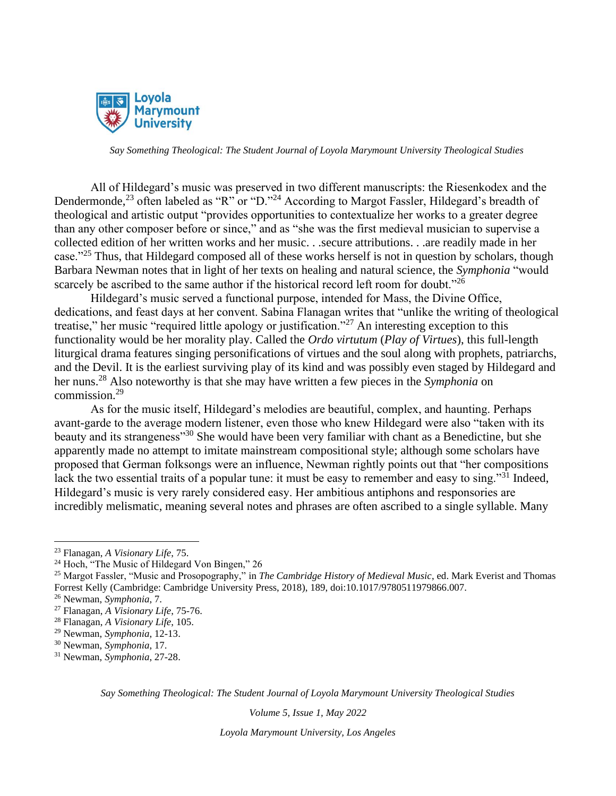

All of Hildegard's music was preserved in two different manuscripts: the Riesenkodex and the Dendermonde,<sup>23</sup> often labeled as "R" or "D."<sup>24</sup> According to Margot Fassler, Hildegard's breadth of theological and artistic output "provides opportunities to contextualize her works to a greater degree than any other composer before or since," and as "she was the first medieval musician to supervise a collected edition of her written works and her music. . .secure attributions. . .are readily made in her case."<sup>25</sup> Thus, that Hildegard composed all of these works herself is not in question by scholars, though Barbara Newman notes that in light of her texts on healing and natural science, the *Symphonia* "would scarcely be ascribed to the same author if the historical record left room for doubt."<sup>26</sup>

Hildegard's music served a functional purpose, intended for Mass, the Divine Office, dedications, and feast days at her convent. Sabina Flanagan writes that "unlike the writing of theological treatise," her music "required little apology or justification."<sup>27</sup> An interesting exception to this functionality would be her morality play. Called the *Ordo virtutum* (*Play of Virtues*), this full-length liturgical drama features singing personifications of virtues and the soul along with prophets, patriarchs, and the Devil. It is the earliest surviving play of its kind and was possibly even staged by Hildegard and her nuns.<sup>28</sup> Also noteworthy is that she may have written a few pieces in the *Symphonia* on commission.<sup>29</sup>

As for the music itself, Hildegard's melodies are beautiful, complex, and haunting. Perhaps avant-garde to the average modern listener, even those who knew Hildegard were also "taken with its beauty and its strangeness<sup>330</sup> She would have been very familiar with chant as a Benedictine, but she apparently made no attempt to imitate mainstream compositional style; although some scholars have proposed that German folksongs were an influence, Newman rightly points out that "her compositions lack the two essential traits of a popular tune: it must be easy to remember and easy to sing."<sup>31</sup> Indeed, Hildegard's music is very rarely considered easy. Her ambitious antiphons and responsories are incredibly melismatic, meaning several notes and phrases are often ascribed to a single syllable. Many

*Say Something Theological: The Student Journal of Loyola Marymount University Theological Studies*

*Volume 5, Issue 1, May 2022*

<sup>23</sup> Flanagan, *A Visionary Life*, 75.

<sup>&</sup>lt;sup>24</sup> Hoch, "The Music of Hildegard Von Bingen," 26

<sup>25</sup> Margot Fassler, "Music and Prosopography," in *The Cambridge History of Medieval Music*, ed. Mark Everist and Thomas Forrest Kelly (Cambridge: Cambridge University Press, 2018), 189, doi:10.1017/9780511979866.007.

<sup>26</sup> Newman, *Symphonia*, 7.

<sup>27</sup> Flanagan, *A Visionary Life*, 75-76.

<sup>28</sup> Flanagan, *A Visionary Life*, 105.

<sup>29</sup> Newman, *Symphonia*, 12-13.

<sup>30</sup> Newman, *Symphonia*, 17.

<sup>31</sup> Newman, *Symphonia*, 27-28.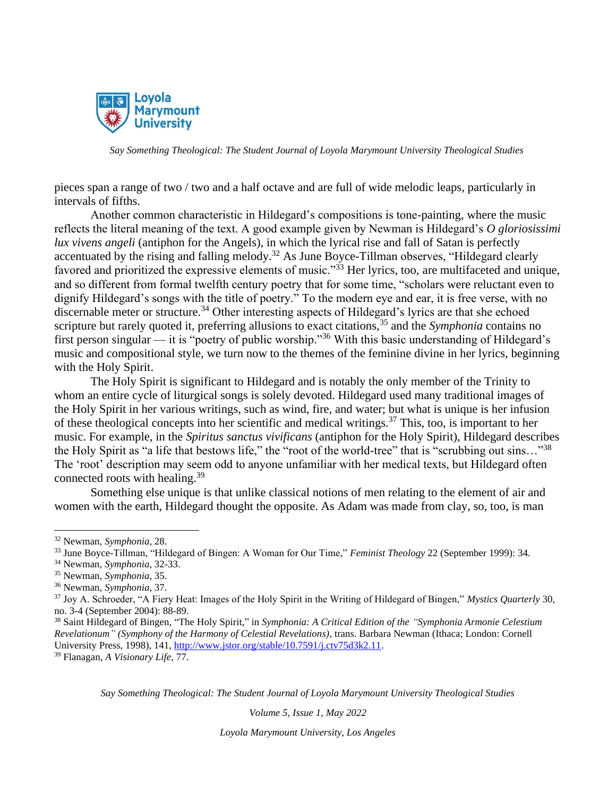

pieces span a range of two / two and a half octave and are full of wide melodic leaps, particularly in intervals of fifths.

Another common characteristic in Hildegard's compositions is tone-painting, where the music reflects the literal meaning of the text. A good example given by Newman is Hildegard's *O gloriosissimi lux vivens angeli* (antiphon for the Angels), in which the lyrical rise and fall of Satan is perfectly accentuated by the rising and falling melody.<sup>32</sup> As June Boyce-Tillman observes, "Hildegard clearly favored and prioritized the expressive elements of music."<sup>33</sup> Her lyrics, too, are multifaceted and unique, and so different from formal twelfth century poetry that for some time, "scholars were reluctant even to dignify Hildegard's songs with the title of poetry." To the modern eye and ear, it is free verse, with no discernable meter or structure.<sup>34</sup> Other interesting aspects of Hildegard's lyrics are that she echoed scripture but rarely quoted it, preferring allusions to exact citations,<sup>35</sup> and the *Symphonia* contains no first person singular — it is "poetry of public worship."<sup>36</sup> With this basic understanding of Hildegard's music and compositional style, we turn now to the themes of the feminine divine in her lyrics, beginning with the Holy Spirit.

The Holy Spirit is significant to Hildegard and is notably the only member of the Trinity to whom an entire cycle of liturgical songs is solely devoted. Hildegard used many traditional images of the Holy Spirit in her various writings, such as wind, fire, and water; but what is unique is her infusion of these theological concepts into her scientific and medical writings.<sup>37</sup> This, too, is important to her music. For example, in the *Spiritus sanctus vivificans* (antiphon for the Holy Spirit), Hildegard describes the Holy Spirit as "a life that bestows life," the "root of the world-tree" that is "scrubbing out sins…"<sup>38</sup> The 'root' description may seem odd to anyone unfamiliar with her medical texts, but Hildegard often connected roots with healing.<sup>39</sup>

Something else unique is that unlike classical notions of men relating to the element of air and women with the earth, Hildegard thought the opposite. As Adam was made from clay, so, too, is man

*Say Something Theological: The Student Journal of Loyola Marymount University Theological Studies*

*Volume 5, Issue 1, May 2022*

<sup>32</sup> Newman, *Symphonia*, 28.

<sup>33</sup> June Boyce-Tillman, "Hildegard of Bingen: A Woman for Our Time," *Feminist Theology* 22 (September 1999): 34.

<sup>34</sup> Newman, *Symphonia*, 32-33.

<sup>35</sup> Newman, *Symphonia*, 35.

<sup>36</sup> Newman, *Symphonia*, 37.

<sup>37</sup> Joy A. Schroeder, "A Fiery Heat: Images of the Holy Spirit in the Writing of Hildegard of Bingen," *Mystics Quarterly* 30, no. 3-4 (September 2004): 88-89.

<sup>38</sup> Saint Hildegard of Bingen, "The Holy Spirit," in *Symphonia: A Critical Edition of the "Symphonia Armonie Celestium Revelationum" (Symphony of the Harmony of Celestial Revelations)*, trans. Barbara Newman (Ithaca; London: Cornell University Press, 1998), 141, [http://www.jstor.org/stable/10.7591/j.ctv75d3k2.11.](http://www.jstor.org/stable/10.7591/j.ctv75d3k2.11)

<sup>39</sup> Flanagan, *A Visionary Life*, 77.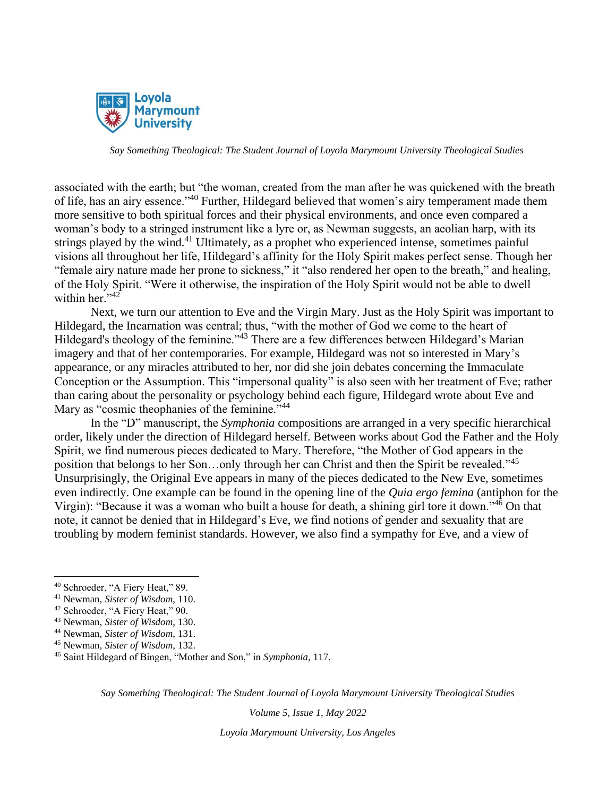

associated with the earth; but "the woman, created from the man after he was quickened with the breath of life, has an airy essence."<sup>40</sup> Further, Hildegard believed that women's airy temperament made them more sensitive to both spiritual forces and their physical environments, and once even compared a woman's body to a stringed instrument like a lyre or, as Newman suggests, an aeolian harp, with its strings played by the wind.<sup>41</sup> Ultimately, as a prophet who experienced intense, sometimes painful visions all throughout her life, Hildegard's affinity for the Holy Spirit makes perfect sense. Though her "female airy nature made her prone to sickness," it "also rendered her open to the breath," and healing, of the Holy Spirit. "Were it otherwise, the inspiration of the Holy Spirit would not be able to dwell within her."<sup>42</sup>

Next, we turn our attention to Eve and the Virgin Mary. Just as the Holy Spirit was important to Hildegard, the Incarnation was central; thus, "with the mother of God we come to the heart of Hildegard's theology of the feminine."<sup>43</sup> There are a few differences between Hildegard's Marian imagery and that of her contemporaries. For example, Hildegard was not so interested in Mary's appearance, or any miracles attributed to her, nor did she join debates concerning the Immaculate Conception or the Assumption. This "impersonal quality" is also seen with her treatment of Eve; rather than caring about the personality or psychology behind each figure, Hildegard wrote about Eve and Mary as "cosmic theophanies of the feminine."<sup>44</sup>

In the "D" manuscript, the *Symphonia* compositions are arranged in a very specific hierarchical order, likely under the direction of Hildegard herself. Between works about God the Father and the Holy Spirit, we find numerous pieces dedicated to Mary. Therefore, "the Mother of God appears in the position that belongs to her Son…only through her can Christ and then the Spirit be revealed."<sup>45</sup> Unsurprisingly, the Original Eve appears in many of the pieces dedicated to the New Eve, sometimes even indirectly. One example can be found in the opening line of the *Quia ergo femina* (antiphon for the Virgin): "Because it was a woman who built a house for death, a shining girl tore it down."<sup>46</sup> On that note, it cannot be denied that in Hildegard's Eve, we find notions of gender and sexuality that are troubling by modern feminist standards. However, we also find a sympathy for Eve, and a view of

*Say Something Theological: The Student Journal of Loyola Marymount University Theological Studies*

*Volume 5, Issue 1, May 2022*

<sup>40</sup> Schroeder, "A Fiery Heat," 89.

<sup>41</sup> Newman, *Sister of Wisdom*, 110.

<sup>42</sup> Schroeder, "A Fiery Heat," 90.

<sup>43</sup> Newman, *Sister of Wisdom*, 130.

<sup>44</sup> Newman, *Sister of Wisdom*, 131.

<sup>45</sup> Newman, *Sister of Wisdom*, 132.

<sup>46</sup> Saint Hildegard of Bingen, "Mother and Son," in *Symphonia*, 117.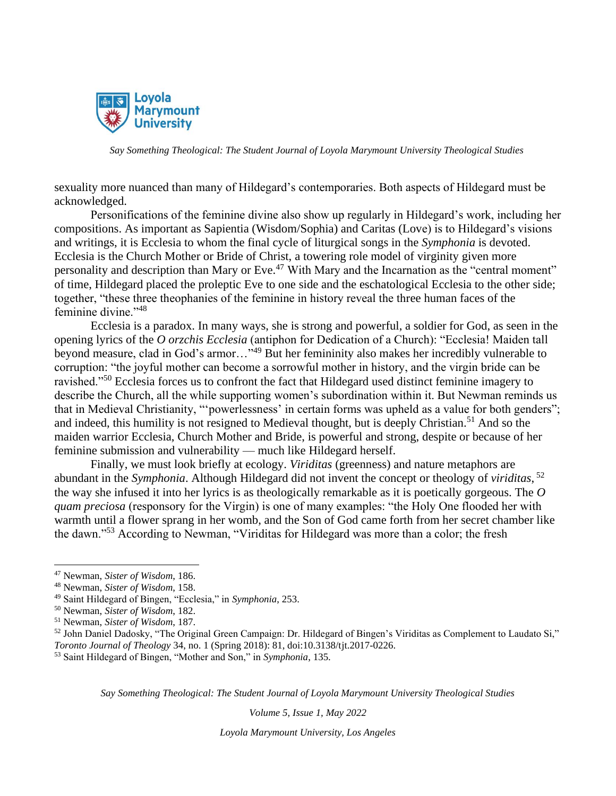

sexuality more nuanced than many of Hildegard's contemporaries. Both aspects of Hildegard must be acknowledged.

Personifications of the feminine divine also show up regularly in Hildegard's work, including her compositions. As important as Sapientia (Wisdom/Sophia) and Caritas (Love) is to Hildegard's visions and writings, it is Ecclesia to whom the final cycle of liturgical songs in the *Symphonia* is devoted. Ecclesia is the Church Mother or Bride of Christ, a towering role model of virginity given more personality and description than Mary or Eve.<sup>47</sup> With Mary and the Incarnation as the "central moment" of time, Hildegard placed the proleptic Eve to one side and the eschatological Ecclesia to the other side; together, "these three theophanies of the feminine in history reveal the three human faces of the feminine divine."<sup>48</sup>

Ecclesia is a paradox. In many ways, she is strong and powerful, a soldier for God, as seen in the opening lyrics of the *O orzchis Ecclesia* (antiphon for Dedication of a Church): "Ecclesia! Maiden tall beyond measure, clad in God's armor…"<sup>49</sup> But her femininity also makes her incredibly vulnerable to corruption: "the joyful mother can become a sorrowful mother in history, and the virgin bride can be ravished."<sup>50</sup> Ecclesia forces us to confront the fact that Hildegard used distinct feminine imagery to describe the Church, all the while supporting women's subordination within it. But Newman reminds us that in Medieval Christianity, "'powerlessness' in certain forms was upheld as a value for both genders"; and indeed, this humility is not resigned to Medieval thought, but is deeply Christian.<sup>51</sup> And so the maiden warrior Ecclesia, Church Mother and Bride, is powerful and strong, despite or because of her feminine submission and vulnerability — much like Hildegard herself.

Finally, we must look briefly at ecology. *Viriditas* (greenness) and nature metaphors are abundant in the *Symphonia*. Although Hildegard did not invent the concept or theology of *viriditas*, 52 the way she infused it into her lyrics is as theologically remarkable as it is poetically gorgeous. The *O quam preciosa* (responsory for the Virgin) is one of many examples: "the Holy One flooded her with warmth until a flower sprang in her womb, and the Son of God came forth from her secret chamber like the dawn."<sup>53</sup> According to Newman, "Viriditas for Hildegard was more than a color; the fresh

*Say Something Theological: The Student Journal of Loyola Marymount University Theological Studies*

*Volume 5, Issue 1, May 2022*

<sup>47</sup> Newman, *Sister of Wisdom*, 186.

<sup>48</sup> Newman, *Sister of Wisdom*, 158.

<sup>49</sup> Saint Hildegard of Bingen, "Ecclesia," in *Symphonia*, 253.

<sup>50</sup> Newman, *Sister of Wisdom*, 182.

<sup>51</sup> Newman, *Sister of Wisdom*, 187.

<sup>&</sup>lt;sup>52</sup> John Daniel Dadosky, "The Original Green Campaign: Dr. Hildegard of Bingen's Viriditas as Complement to Laudato Si," *Toronto Journal of Theology* 34, no. 1 (Spring 2018): 81, doi:10.3138/tjt.2017-0226.

<sup>53</sup> Saint Hildegard of Bingen, "Mother and Son," in *Symphonia*, 135.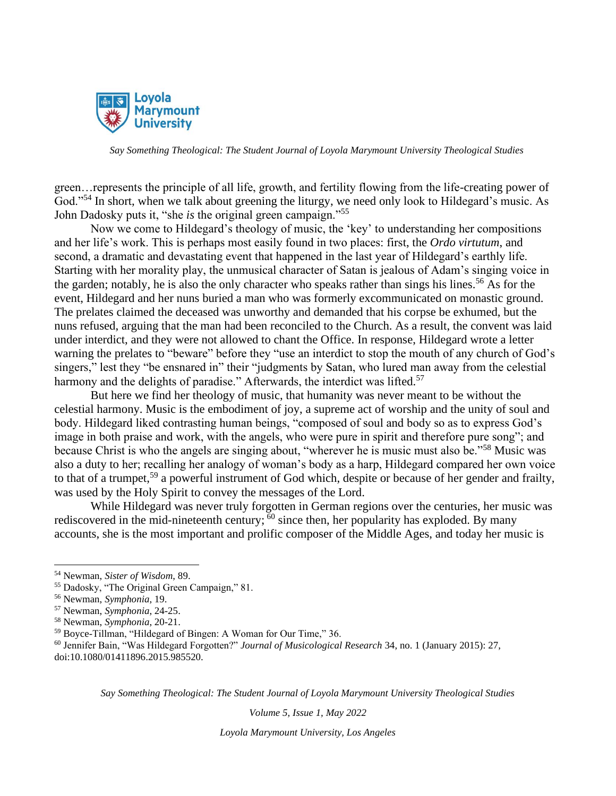

green…represents the principle of all life, growth, and fertility flowing from the life-creating power of God."<sup>54</sup> In short, when we talk about greening the liturgy, we need only look to Hildegard's music. As John Dadosky puts it, "she *is* the original green campaign."<sup>55</sup>

Now we come to Hildegard's theology of music, the 'key' to understanding her compositions and her life's work. This is perhaps most easily found in two places: first, the *Ordo virtutum*, and second, a dramatic and devastating event that happened in the last year of Hildegard's earthly life. Starting with her morality play, the unmusical character of Satan is jealous of Adam's singing voice in the garden; notably, he is also the only character who speaks rather than sings his lines.<sup>56</sup> As for the event, Hildegard and her nuns buried a man who was formerly excommunicated on monastic ground. The prelates claimed the deceased was unworthy and demanded that his corpse be exhumed, but the nuns refused, arguing that the man had been reconciled to the Church. As a result, the convent was laid under interdict, and they were not allowed to chant the Office. In response, Hildegard wrote a letter warning the prelates to "beware" before they "use an interdict to stop the mouth of any church of God's singers," lest they "be ensnared in" their "judgments by Satan, who lured man away from the celestial harmony and the delights of paradise." Afterwards, the interdict was lifted.<sup>57</sup>

But here we find her theology of music, that humanity was never meant to be without the celestial harmony. Music is the embodiment of joy, a supreme act of worship and the unity of soul and body. Hildegard liked contrasting human beings, "composed of soul and body so as to express God's image in both praise and work, with the angels, who were pure in spirit and therefore pure song"; and because Christ is who the angels are singing about, "wherever he is music must also be."<sup>58</sup> Music was also a duty to her; recalling her analogy of woman's body as a harp, Hildegard compared her own voice to that of a trumpet,<sup>59</sup> a powerful instrument of God which, despite or because of her gender and frailty, was used by the Holy Spirit to convey the messages of the Lord.

While Hildegard was never truly forgotten in German regions over the centuries, her music was rediscovered in the mid-nineteenth century;  $\frac{60}{6}$  since then, her popularity has exploded. By many accounts, she is the most important and prolific composer of the Middle Ages, and today her music is

<sup>60</sup> Jennifer Bain, "Was Hildegard Forgotten?" *Journal of Musicological Research* 34, no. 1 (January 2015): 27, doi:10.1080/01411896.2015.985520.

*Say Something Theological: The Student Journal of Loyola Marymount University Theological Studies*

*Volume 5, Issue 1, May 2022*

<sup>54</sup> Newman, *Sister of Wisdom*, 89.

<sup>55</sup> Dadosky, "The Original Green Campaign," 81.

<sup>56</sup> Newman, *Symphonia*, 19.

<sup>57</sup> Newman, *Symphonia*, 24-25.

<sup>58</sup> Newman, *Symphonia*, 20-21.

<sup>59</sup> Boyce-Tillman, "Hildegard of Bingen: A Woman for Our Time," 36.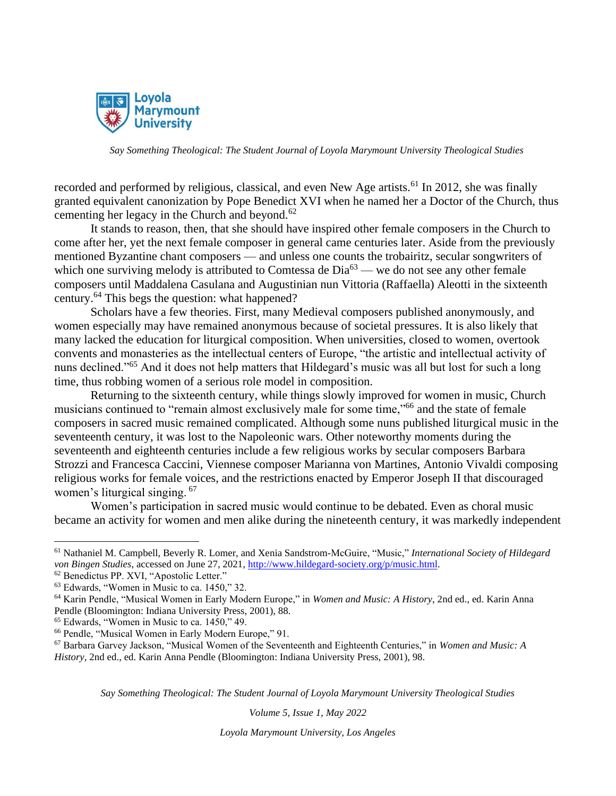

recorded and performed by religious, classical, and even New Age artists.<sup>61</sup> In 2012, she was finally granted equivalent canonization by Pope Benedict XVI when he named her a Doctor of the Church, thus cementing her legacy in the Church and beyond.<sup>62</sup>

It stands to reason, then, that she should have inspired other female composers in the Church to come after her, yet the next female composer in general came centuries later. Aside from the previously mentioned Byzantine chant composers — and unless one counts the trobairitz, secular songwriters of which one surviving melody is attributed to Comtessa de  $Dia^{63}$  — we do not see any other female composers until Maddalena Casulana and Augustinian nun Vittoria (Raffaella) Aleotti in the sixteenth century.<sup>64</sup> This begs the question: what happened?

Scholars have a few theories. First, many Medieval composers published anonymously, and women especially may have remained anonymous because of societal pressures. It is also likely that many lacked the education for liturgical composition. When universities, closed to women, overtook convents and monasteries as the intellectual centers of Europe, "the artistic and intellectual activity of nuns declined."<sup>65</sup> And it does not help matters that Hildegard's music was all but lost for such a long time, thus robbing women of a serious role model in composition.

Returning to the sixteenth century, while things slowly improved for women in music, Church musicians continued to "remain almost exclusively male for some time,"<sup>66</sup> and the state of female composers in sacred music remained complicated. Although some nuns published liturgical music in the seventeenth century, it was lost to the Napoleonic wars. Other noteworthy moments during the seventeenth and eighteenth centuries include a few religious works by secular composers Barbara Strozzi and Francesca Caccini, Viennese composer Marianna von Martines, Antonio Vivaldi composing religious works for female voices, and the restrictions enacted by Emperor Joseph II that discouraged women's liturgical singing. <sup>67</sup>

Women's participation in sacred music would continue to be debated. Even as choral music became an activity for women and men alike during the nineteenth century, it was markedly independent

*Say Something Theological: The Student Journal of Loyola Marymount University Theological Studies*

*Volume 5, Issue 1, May 2022*

<sup>61</sup> Nathaniel M. Campbell, Beverly R. Lomer, and Xenia Sandstrom-McGuire, "Music," *International Society of Hildegard von Bingen Studies*, accessed on June 27, 2021, [http://www.hildegard-society.org/p/music.html.](http://www.hildegard-society.org/p/music.html)

<sup>62</sup> Benedictus PP. XVI, "Apostolic Letter."

 $63$  Edwards, "Women in Music to ca. 1450," 32.

<sup>64</sup> Karin Pendle, "Musical Women in Early Modern Europe," in *Women and Music: A History*, 2nd ed., ed. Karin Anna Pendle (Bloomington: Indiana University Press, 2001), 88.

<sup>65</sup> Edwards, "Women in Music to ca. 1450," 49.

<sup>66</sup> Pendle, "Musical Women in Early Modern Europe," 91.

<sup>67</sup> Barbara Garvey Jackson, "Musical Women of the Seventeenth and Eighteenth Centuries," in *Women and Music: A History*, 2nd ed., ed. Karin Anna Pendle (Bloomington: Indiana University Press, 2001), 98.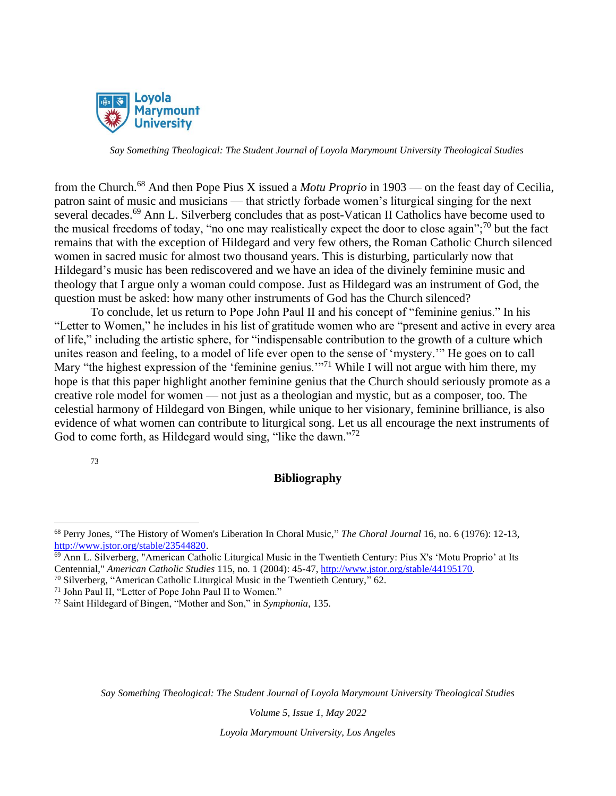

from the Church.<sup>68</sup> And then Pope Pius X issued a *Motu Proprio* in 1903 — on the feast day of Cecilia, patron saint of music and musicians — that strictly forbade women's liturgical singing for the next several decades.<sup>69</sup> Ann L. Silverberg concludes that as post-Vatican II Catholics have become used to the musical freedoms of today, "no one may realistically expect the door to close again";<sup>70</sup> but the fact remains that with the exception of Hildegard and very few others, the Roman Catholic Church silenced women in sacred music for almost two thousand years. This is disturbing, particularly now that Hildegard's music has been rediscovered and we have an idea of the divinely feminine music and theology that I argue only a woman could compose. Just as Hildegard was an instrument of God, the question must be asked: how many other instruments of God has the Church silenced?

To conclude, let us return to Pope John Paul II and his concept of "feminine genius." In his "Letter to Women," he includes in his list of gratitude women who are "present and active in every area of life," including the artistic sphere, for "indispensable contribution to the growth of a culture which unites reason and feeling, to a model of life ever open to the sense of 'mystery.'" He goes on to call Mary "the highest expression of the 'feminine genius."<sup>71</sup> While I will not argue with him there, my hope is that this paper highlight another feminine genius that the Church should seriously promote as a creative role model for women — not just as a theologian and mystic, but as a composer, too. The celestial harmony of Hildegard von Bingen, while unique to her visionary, feminine brilliance, is also evidence of what women can contribute to liturgical song. Let us all encourage the next instruments of God to come forth, as Hildegard would sing, "like the dawn."<sup>72</sup>

73

### **Bibliography**

<sup>70</sup> Silverberg, "American Catholic Liturgical Music in the Twentieth Century," 62.

*Say Something Theological: The Student Journal of Loyola Marymount University Theological Studies*

*Volume 5, Issue 1, May 2022*

<sup>68</sup> Perry Jones, "The History of Women's Liberation In Choral Music," *The Choral Journal* 16, no. 6 (1976): 12-13, [http://www.jstor.org/stable/23544820.](http://www.jstor.org/stable/23544820)

<sup>&</sup>lt;sup>69</sup> Ann L. Silverberg, "American Catholic Liturgical Music in the Twentieth Century: Pius X's 'Motu Proprio' at Its Centennial," *American Catholic Studies* 115, no. 1 (2004): 45-47, [http://www.jstor.org/stable/44195170.](http://www.jstor.org/stable/44195170)

<sup>71</sup> John Paul II, "Letter of Pope John Paul II to Women."

<sup>72</sup> Saint Hildegard of Bingen, "Mother and Son," in *Symphonia*, 135.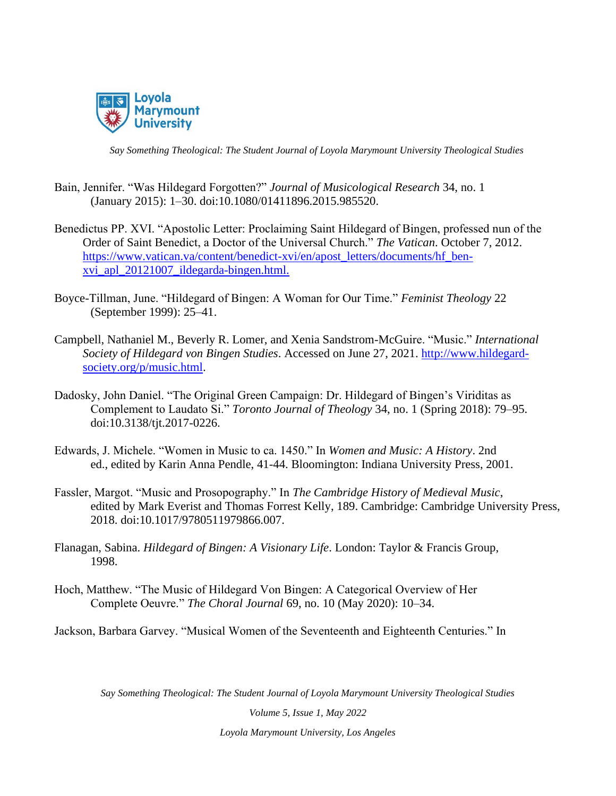

- Bain, Jennifer. "Was Hildegard Forgotten?" *Journal of Musicological Research* 34, no. 1 (January 2015): 1–30. doi:10.1080/01411896.2015.985520.
- Benedictus PP. XVI. "Apostolic Letter: Proclaiming Saint Hildegard of Bingen, professed nun of the Order of Saint Benedict, a Doctor of the Universal Church." *The Vatican*. October 7, 2012. [https://www.vatican.va/content/benedict-xvi/en/apost\\_letters/documents/hf\\_ben](https://www.vatican.va/content/benedict-xvi/en/apost_letters/documents/hf_ben-xvi_apl_20121007_ildegarda-bingen.html)[xvi\\_apl\\_20121007\\_ildegarda-bingen.html.](https://www.vatican.va/content/benedict-xvi/en/apost_letters/documents/hf_ben-xvi_apl_20121007_ildegarda-bingen.html)
- Boyce-Tillman, June. "Hildegard of Bingen: A Woman for Our Time." *Feminist Theology* 22 (September 1999): 25–41.
- Campbell, Nathaniel M., Beverly R. Lomer, and Xenia Sandstrom-McGuire. "Music." *International Society of Hildegard von Bingen Studies*. Accessed on June 27, 2021. [http://www.hildegard](http://www.hildegard-society.org/p/music.html)[society.org/p/music.html.](http://www.hildegard-society.org/p/music.html)
- Dadosky, John Daniel. "The Original Green Campaign: Dr. Hildegard of Bingen's Viriditas as Complement to Laudato Si." *Toronto Journal of Theology* 34, no. 1 (Spring 2018): 79–95. doi:10.3138/tjt.2017-0226.
- Edwards, J. Michele. "Women in Music to ca. 1450." In *Women and Music: A History*. 2nd ed., edited by Karin Anna Pendle, 41-44. Bloomington: Indiana University Press, 2001.
- Fassler, Margot. "Music and Prosopography." In *The Cambridge History of Medieval Music*, edited by Mark Everist and Thomas Forrest Kelly, 189. Cambridge: Cambridge University Press, 2018. doi:10.1017/9780511979866.007.
- Flanagan, Sabina. *Hildegard of Bingen: A Visionary Life*. London: Taylor & Francis Group, 1998.
- Hoch, Matthew. "The Music of Hildegard Von Bingen: A Categorical Overview of Her Complete Oeuvre." *The Choral Journal* 69, no. 10 (May 2020): 10–34.

Jackson, Barbara Garvey. "Musical Women of the Seventeenth and Eighteenth Centuries." In

*Say Something Theological: The Student Journal of Loyola Marymount University Theological Studies*

*Volume 5, Issue 1, May 2022 Loyola Marymount University, Los Angeles*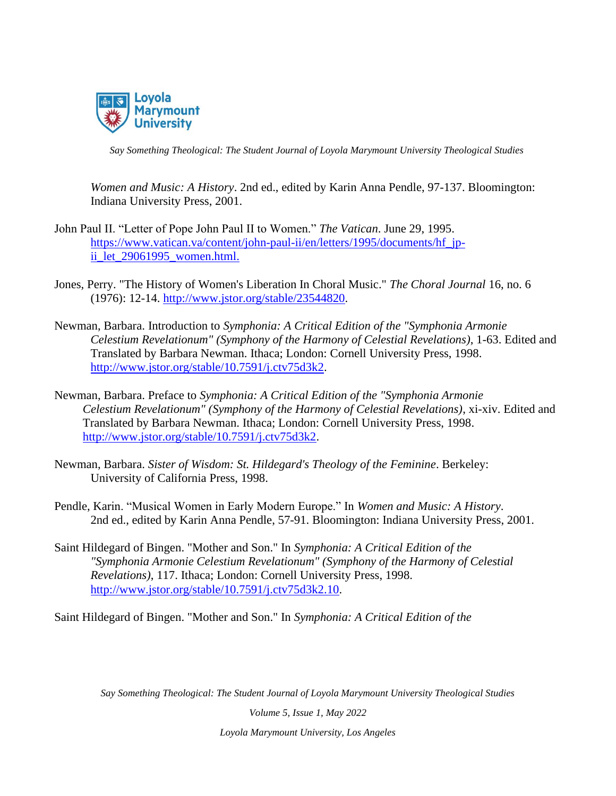

*Women and Music: A History*. 2nd ed., edited by Karin Anna Pendle, 97-137. Bloomington: Indiana University Press, 2001.

- John Paul II. "Letter of Pope John Paul II to Women." *The Vatican*. June 29, 1995. [https://www.vatican.va/content/john-paul-ii/en/letters/1995/documents/hf\\_jp](https://www.vatican.va/content/john-paul-ii/en/letters/1995/documents/hf_jp-ii_let_29061995_women.html)ii let 29061995 women.html.
- Jones, Perry. "The History of Women's Liberation In Choral Music." *The Choral Journal* 16, no. 6 (1976): 12-14. [http://www.jstor.org/stable/23544820.](http://www.jstor.org/stable/23544820)
- Newman, Barbara. Introduction to *Symphonia: A Critical Edition of the "Symphonia Armonie Celestium Revelationum" (Symphony of the Harmony of Celestial Revelations)*, 1-63. Edited and Translated by Barbara Newman. Ithaca; London: Cornell University Press, 1998. [http://www.jstor.org/stable/10.7591/j.ctv75d3k2.](http://www.jstor.org/stable/10.7591/j.ctv75d3k2)
- Newman, Barbara. Preface to *Symphonia: A Critical Edition of the "Symphonia Armonie Celestium Revelationum" (Symphony of the Harmony of Celestial Revelations)*, xi-xiv. Edited and Translated by Barbara Newman. Ithaca; London: Cornell University Press, 1998. [http://www.jstor.org/stable/10.7591/j.ctv75d3k2.](http://www.jstor.org/stable/10.7591/j.ctv75d3k2)
- Newman, Barbara. *Sister of Wisdom: St. Hildegard's Theology of the Feminine*. Berkeley: University of California Press, 1998.
- Pendle, Karin. "Musical Women in Early Modern Europe." In *Women and Music: A History*. 2nd ed., edited by Karin Anna Pendle, 57-91. Bloomington: Indiana University Press, 2001.
- Saint Hildegard of Bingen. "Mother and Son." In *Symphonia: A Critical Edition of the "Symphonia Armonie Celestium Revelationum" (Symphony of the Harmony of Celestial Revelations)*, 117. Ithaca; London: Cornell University Press, 1998. [http://www.jstor.org/stable/10.7591/j.ctv75d3k2.10.](http://www.jstor.org/stable/10.7591/j.ctv75d3k2.10)

Saint Hildegard of Bingen. "Mother and Son." In *Symphonia: A Critical Edition of the* 

*Say Something Theological: The Student Journal of Loyola Marymount University Theological Studies*

*Volume 5, Issue 1, May 2022 Loyola Marymount University, Los Angeles*